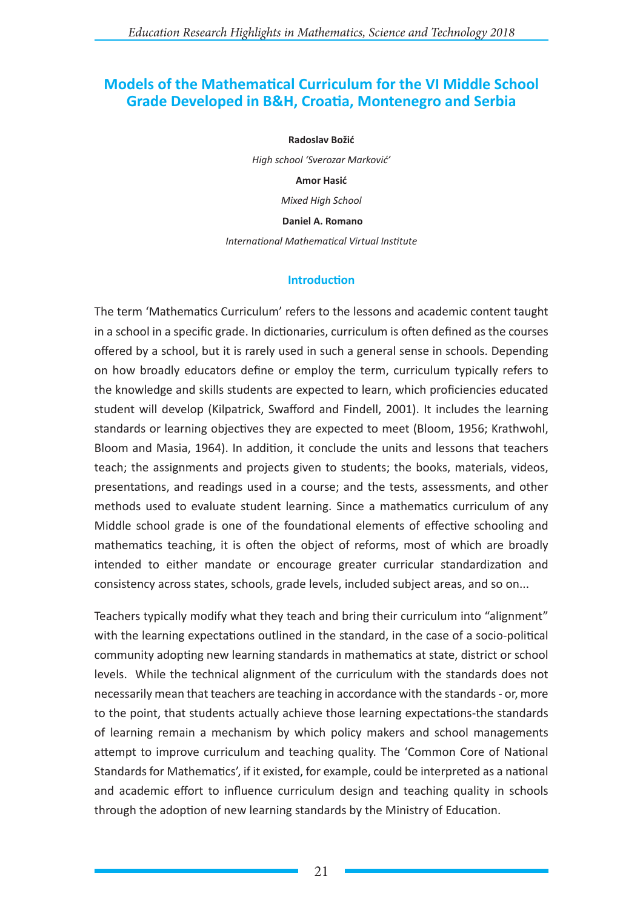# **Models of the Mathematical Curriculum for the VI Middle School Grade Developed in B&H, Croatia, Montenegro and Serbia**

#### **Radoslav Božić**

*High school 'Sverozar Marković'*

**Amor Hasić**

*Mixed High School*

 **Daniel A. Romano**

*International Mathematical Virtual Institute*

### **Introduction**

The term 'Mathematics Curriculum' refers to the lessons and academic content taught in a school in a specific grade. In dictionaries, curriculum is often defined as the courses offered by a school, but it is rarely used in such a general sense in schools. Depending on how broadly educators define or employ the term, curriculum typically refers to the knowledge and skills students are expected to learn, which proficiencies educated student will develop (Kilpatrick, Swafford and Findell, 2001). It includes the learning standards or learning objectives they are expected to meet (Bloom, 1956; Krathwohl, Bloom and Masia, 1964). In addition, it conclude the units and lessons that teachers teach; the assignments and projects given to students; the books, materials, videos, presentations, and readings used in a course; and the tests, assessments, and other methods used to evaluate student learning. Since a mathematics curriculum of any Middle school grade is one of the foundational elements of effective schooling and mathematics teaching, it is often the object of reforms, most of which are broadly intended to either mandate or encourage greater curricular standardization and consistency across states, schools, grade levels, included subject areas, and so on...

Teachers typically modify what they teach and bring their curriculum into "alignment" with the learning expectations outlined in the standard, in the case of a socio-political community adopting new learning standards in mathematics at state, district or school levels. While the technical alignment of the curriculum with the standards does not necessarily mean that teachers are teaching in accordance with the standards - or, more to the point, that students actually achieve those learning expectations-the standards of learning remain a mechanism by which policy makers and school managements attempt to improve curriculum and teaching quality. The 'Common Core of National Standards for Mathematics', if it existed, for example, could be interpreted as a national and academic effort to influence curriculum design and teaching quality in schools through the adoption of new learning standards by the Ministry of Education.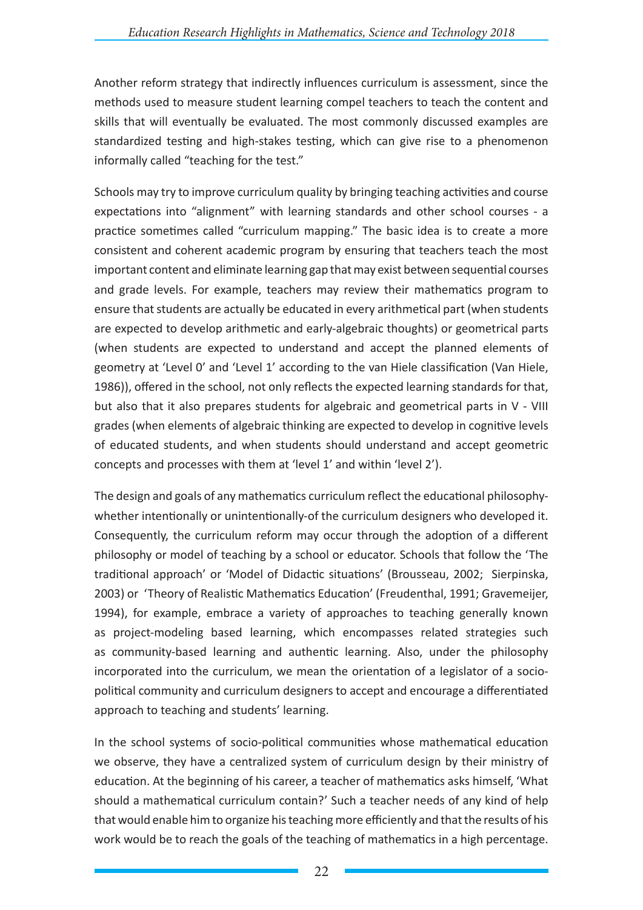Another reform strategy that indirectly influences curriculum is assessment, since the methods used to measure student learning compel teachers to teach the content and skills that will eventually be evaluated. The most commonly discussed examples are standardized testing and high-stakes testing, which can give rise to a phenomenon informally called "teaching for the test."

Schools may try to improve curriculum quality by bringing teaching activities and course expectations into "alignment" with learning standards and other school courses - a practice sometimes called "curriculum mapping." The basic idea is to create a more consistent and coherent academic program by ensuring that teachers teach the most important content and eliminate learning gap that may exist between sequential courses and grade levels. For example, teachers may review their mathematics program to ensure that students are actually be educated in every arithmetical part (when students are expected to develop arithmetic and early-algebraic thoughts) or geometrical parts (when students are expected to understand and accept the planned elements of geometry at 'Level 0' and 'Level 1' according to the van Hiele classification (Van Hiele, 1986)), offered in the school, not only reflects the expected learning standards for that, but also that it also prepares students for algebraic and geometrical parts in V - VIII grades (when elements of algebraic thinking are expected to develop in cognitive levels of educated students, and when students should understand and accept geometric concepts and processes with them at 'level 1' and within 'level 2').

The design and goals of any mathematics curriculum reflect the educational philosophywhether intentionally or unintentionally-of the curriculum designers who developed it. Consequently, the curriculum reform may occur through the adoption of a different philosophy or model of teaching by a school or educator. Schools that follow the 'The traditional approach' or 'Model of Didactic situations' (Brousseau, 2002; Sierpinska, 2003) or 'Theory of Realistic Mathematics Education' (Freudenthal, 1991; Gravemeijer, 1994), for example, embrace a variety of approaches to teaching generally known as project-modeling based learning, which encompasses related strategies such as community-based learning and authentic learning. Also, under the philosophy incorporated into the curriculum, we mean the orientation of a legislator of a sociopolitical community and curriculum designers to accept and encourage a differentiated approach to teaching and students' learning.

In the school systems of socio-political communities whose mathematical education we observe, they have a centralized system of curriculum design by their ministry of education. At the beginning of his career, a teacher of mathematics asks himself, 'What should a mathematical curriculum contain?' Such a teacher needs of any kind of help that would enable him to organize his teaching more efficiently and that the results of his work would be to reach the goals of the teaching of mathematics in a high percentage.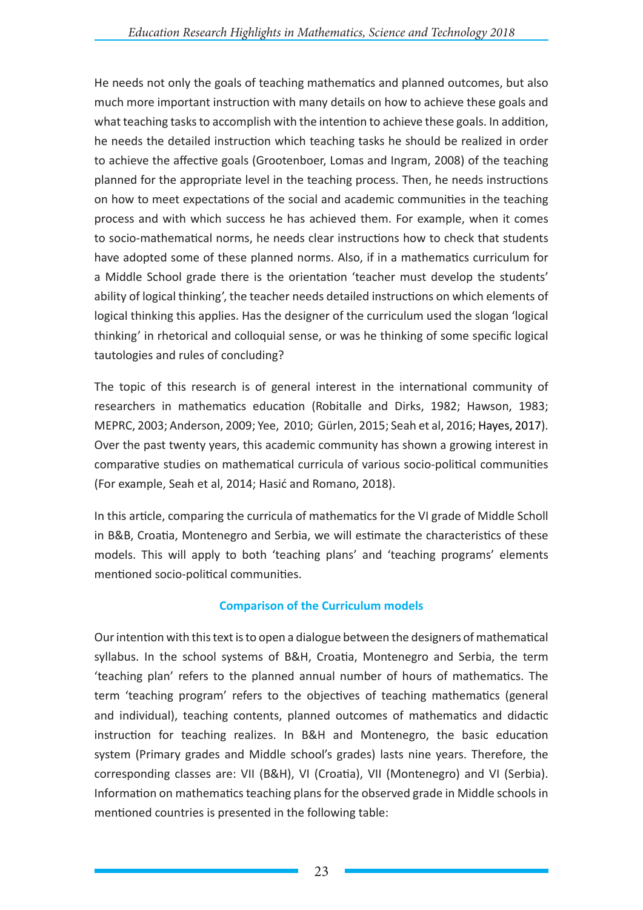He needs not only the goals of teaching mathematics and planned outcomes, but also much more important instruction with many details on how to achieve these goals and what teaching tasks to accomplish with the intention to achieve these goals. In addition, he needs the detailed instruction which teaching tasks he should be realized in order to achieve the affective goals (Grootenboer, Lomas and Ingram, 2008) of the teaching planned for the appropriate level in the teaching process. Then, he needs instructions on how to meet expectations of the social and academic communities in the teaching process and with which success he has achieved them. For example, when it comes to socio-mathematical norms, he needs clear instructions how to check that students have adopted some of these planned norms. Also, if in a mathematics curriculum for a Middle School grade there is the orientation 'teacher must develop the students' ability of logical thinking', the teacher needs detailed instructions on which elements of logical thinking this applies. Has the designer of the curriculum used the slogan 'logical thinking' in rhetorical and colloquial sense, or was he thinking of some specific logical tautologies and rules of concluding?

The topic of this research is of general interest in the international community of researchers in mathematics education (Robitalle and Dirks, 1982; Hawson, 1983; MEPRC, 2003; Anderson, 2009; Yee, 2010; Gürlen, 2015; Seah et al, 2016; Hayes, 2017). Over the past twenty years, this academic community has shown a growing interest in comparative studies on mathematical curricula of various socio-political communities (For example, Seah et al, 2014; Hasić and Romano, 2018).

In this article, comparing the curricula of mathematics for the VI grade of Middle Scholl in B&B, Croatia, Montenegro and Serbia, we will estimate the characteristics of these models. This will apply to both 'teaching plans' and 'teaching programs' elements mentioned socio-political communities.

## **Comparison of the Curriculum models**

Our intention with this text is to open a dialogue between the designers of mathematical syllabus. In the school systems of B&H, Croatia, Montenegro and Serbia, the term 'teaching plan' refers to the planned annual number of hours of mathematics. The term 'teaching program' refers to the objectives of teaching mathematics (general and individual), teaching contents, planned outcomes of mathematics and didactic instruction for teaching realizes. In B&H and Montenegro, the basic education system (Primary grades and Middle school's grades) lasts nine years. Therefore, the corresponding classes are: VII (B&H), VI (Croatia), VII (Montenegro) and VI (Serbia). Information on mathematics teaching plans for the observed grade in Middle schools in mentioned countries is presented in the following table: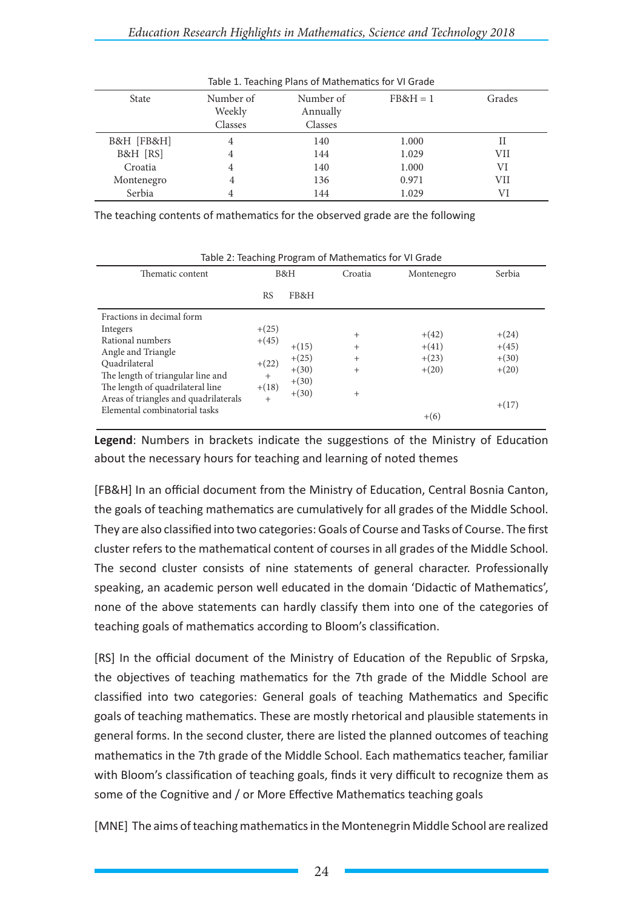| Table 1. Teaching Plans of Mathematics for VI Grade |           |           |          |        |  |  |  |  |
|-----------------------------------------------------|-----------|-----------|----------|--------|--|--|--|--|
| <b>State</b>                                        | Number of | Number of | $FB&H=1$ | Grades |  |  |  |  |
|                                                     | Weekly    | Annually  |          |        |  |  |  |  |
|                                                     | Classes   | Classes   |          |        |  |  |  |  |
| B&H [FB&H]                                          | 4         | 140       | 1.000    | Н      |  |  |  |  |
| B&H [RS]                                            | 4         | 144       | 1.029    | VII    |  |  |  |  |
| Croatia                                             | 4         | 140       | 1.000    | VI     |  |  |  |  |
| Montenegro                                          | 4         | 136       | 0.971    | VII    |  |  |  |  |
| Serbia                                              | 4         | 144       | 1.029    | VI     |  |  |  |  |

The teaching contents of mathematics for the observed grade are the following

| Table 2. Teaching Frogram or Mathematics for VI Grade                                                                                                                                                              |                                                           |                                                     |                                                        |                                          |                                                     |  |  |  |
|--------------------------------------------------------------------------------------------------------------------------------------------------------------------------------------------------------------------|-----------------------------------------------------------|-----------------------------------------------------|--------------------------------------------------------|------------------------------------------|-----------------------------------------------------|--|--|--|
| Thematic content                                                                                                                                                                                                   | B&H                                                       |                                                     | Croatia                                                | Montenegro                               | Serbia                                              |  |  |  |
|                                                                                                                                                                                                                    | <b>RS</b>                                                 | FB&H                                                |                                                        |                                          |                                                     |  |  |  |
| Fractions in decimal form<br>Integers<br>Rational numbers<br>Angle and Triangle<br>Quadrilateral<br>The length of triangular line and<br>The length of quadrilateral line<br>Areas of triangles and quadrilaterals | $+(25)$<br>$+(45)$<br>$+(22)$<br>$^{+}$<br>$+(18)$<br>$+$ | $+(15)$<br>$+(25)$<br>$+(30)$<br>$+(30)$<br>$+(30)$ | $^{+}$<br>$^{+}$<br>$^{+}$<br>$\overline{+}$<br>$^{+}$ | $+(42)$<br>$+(41)$<br>$+(23)$<br>$+(20)$ | $+(24)$<br>$+(45)$<br>$+(30)$<br>$+(20)$<br>$+(17)$ |  |  |  |
| Elemental combinatorial tasks                                                                                                                                                                                      |                                                           |                                                     |                                                        | $+(6)$                                   |                                                     |  |  |  |

Table 2: Teaching Program of Mathematics for VI Grade

**Legend**: Numbers in brackets indicate the suggestions of the Ministry of Education about the necessary hours for teaching and learning of noted themes

[FB&H] In an official document from the Ministry of Education, Central Bosnia Canton, the goals of teaching mathematics are cumulatively for all grades of the Middle School. They are also classified into two categories: Goals of Course and Tasks of Course. The first cluster refers to the mathematical content of courses in all grades of the Middle School. The second cluster consists of nine statements of general character. Professionally speaking, an academic person well educated in the domain 'Didactic of Mathematics', none of the above statements can hardly classify them into one of the categories of teaching goals of mathematics according to Bloom's classification.

[RS] In the official document of the Ministry of Education of the Republic of Srpska, the objectives of teaching mathematics for the 7th grade of the Middle School are classified into two categories: General goals of teaching Mathematics and Specific goals of teaching mathematics. These are mostly rhetorical and plausible statements in general forms. In the second cluster, there are listed the planned outcomes of teaching mathematics in the 7th grade of the Middle School. Each mathematics teacher, familiar with Bloom's classification of teaching goals, finds it very difficult to recognize them as some of the Cognitive and / or More Effective Mathematics teaching goals

[MNE] The aims of teaching mathematics in the Montenegrin Middle School are realized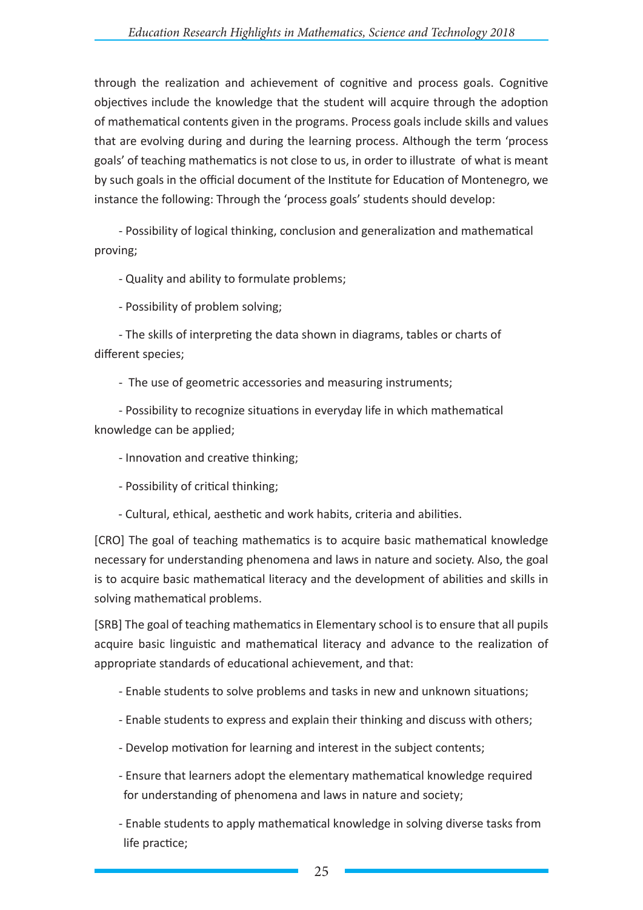through the realization and achievement of cognitive and process goals. Cognitive objectives include the knowledge that the student will acquire through the adoption of mathematical contents given in the programs. Process goals include skills and values that are evolving during and during the learning process. Although the term 'process goals' of teaching mathematics is not close to us, in order to illustrate of what is meant by such goals in the official document of the Institute for Education of Montenegro, we instance the following: Through the 'process goals' students should develop:

- Possibility of logical thinking, conclusion and generalization and mathematical proving;

- Quality and ability to formulate problems;

- Possibility of problem solving;

- The skills of interpreting the data shown in diagrams, tables or charts of different species;

- The use of geometric accessories and measuring instruments;

- Possibility to recognize situations in everyday life in which mathematical knowledge can be applied;

- Innovation and creative thinking;
- Possibility of critical thinking;
- Cultural, ethical, aesthetic and work habits, criteria and abilities.

[CRO] The goal of teaching mathematics is to acquire basic mathematical knowledge necessary for understanding phenomena and laws in nature and society. Also, the goal is to acquire basic mathematical literacy and the development of abilities and skills in solving mathematical problems.

[SRB] The goal of teaching mathematics in Elementary school is to ensure that all pupils acquire basic linguistic and mathematical literacy and advance to the realization of appropriate standards of educational achievement, and that:

- Enable students to solve problems and tasks in new and unknown situations;
- Enable students to express and explain their thinking and discuss with others;
- Develop motivation for learning and interest in the subject contents;
- Ensure that learners adopt the elementary mathematical knowledge required for understanding of phenomena and laws in nature and society;
- Enable students to apply mathematical knowledge in solving diverse tasks from life practice;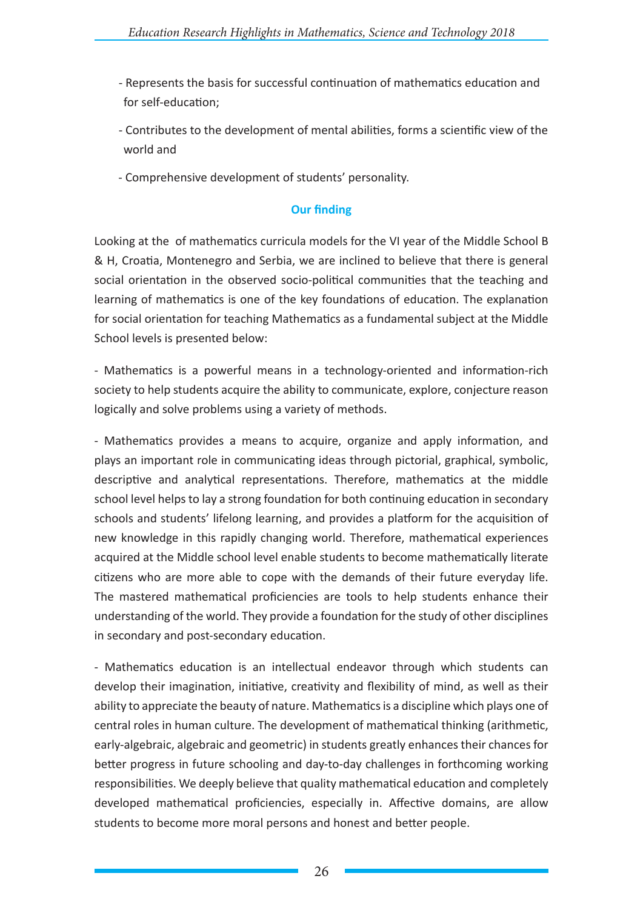- Represents the basis for successful continuation of mathematics education and for self-education;
- Contributes to the development of mental abilities, forms a scientific view of the world and
- Comprehensive development of students' personality.

## **Our finding**

Looking at the of mathematics curricula models for the VI year of the Middle School B & H, Croatia, Montenegro and Serbia, we are inclined to believe that there is general social orientation in the observed socio-political communities that the teaching and learning of mathematics is one of the key foundations of education. The explanation for social orientation for teaching Mathematics as a fundamental subject at the Middle School levels is presented below:

- Mathematics is a powerful means in a technology-oriented and information-rich society to help students acquire the ability to communicate, explore, conjecture reason logically and solve problems using a variety of methods.

- Mathematics provides a means to acquire, organize and apply information, and plays an important role in communicating ideas through pictorial, graphical, symbolic, descriptive and analytical representations. Therefore, mathematics at the middle school level helps to lay a strong foundation for both continuing education in secondary schools and students' lifelong learning, and provides a platform for the acquisition of new knowledge in this rapidly changing world. Therefore, mathematical experiences acquired at the Middle school level enable students to become mathematically literate citizens who are more able to cope with the demands of their future everyday life. The mastered mathematical proficiencies are tools to help students enhance their understanding of the world. They provide a foundation for the study of other disciplines in secondary and post-secondary education.

- Mathematics education is an intellectual endeavor through which students can develop their imagination, initiative, creativity and flexibility of mind, as well as their ability to appreciate the beauty of nature. Mathematics is a discipline which plays one of central roles in human culture. The development of mathematical thinking (arithmetic, early-algebraic, algebraic and geometric) in students greatly enhances their chances for better progress in future schooling and day-to-day challenges in forthcoming working responsibilities. We deeply believe that quality mathematical education and completely developed mathematical proficiencies, especially in. Affective domains, are allow students to become more moral persons and honest and better people.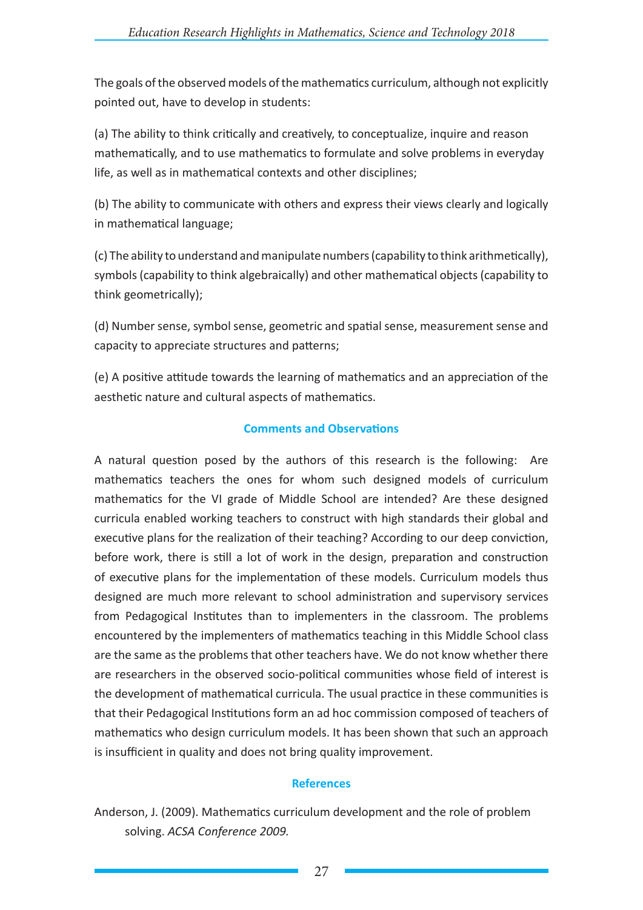The goals of the observed models of the mathematics curriculum, although not explicitly pointed out, have to develop in students:

(a) The ability to think critically and creatively, to conceptualize, inquire and reason mathematically, and to use mathematics to formulate and solve problems in everyday life, as well as in mathematical contexts and other disciplines;

(b) The ability to communicate with others and express their views clearly and logically in mathematical language;

(c) The ability to understand and manipulate numbers (capability to think arithmetically), symbols (capability to think algebraically) and other mathematical objects (capability to think geometrically);

(d) Number sense, symbol sense, geometric and spatial sense, measurement sense and capacity to appreciate structures and patterns;

(e) A positive attitude towards the learning of mathematics and an appreciation of the aesthetic nature and cultural aspects of mathematics.

## **Comments and Observations**

A natural question posed by the authors of this research is the following: Are mathematics teachers the ones for whom such designed models of curriculum mathematics for the VI grade of Middle School are intended? Are these designed curricula enabled working teachers to construct with high standards their global and executive plans for the realization of their teaching? According to our deep conviction, before work, there is still a lot of work in the design, preparation and construction of executive plans for the implementation of these models. Curriculum models thus designed are much more relevant to school administration and supervisory services from Pedagogical Institutes than to implementers in the classroom. The problems encountered by the implementers of mathematics teaching in this Middle School class are the same as the problems that other teachers have. We do not know whether there are researchers in the observed socio-political communities whose field of interest is the development of mathematical curricula. The usual practice in these communities is that their Pedagogical Institutions form an ad hoc commission composed of teachers of mathematics who design curriculum models. It has been shown that such an approach is insufficient in quality and does not bring quality improvement.

## **References**

Anderson, J. (2009). Mathematics curriculum development and the role of problem solving. *ACSA Conference 2009.*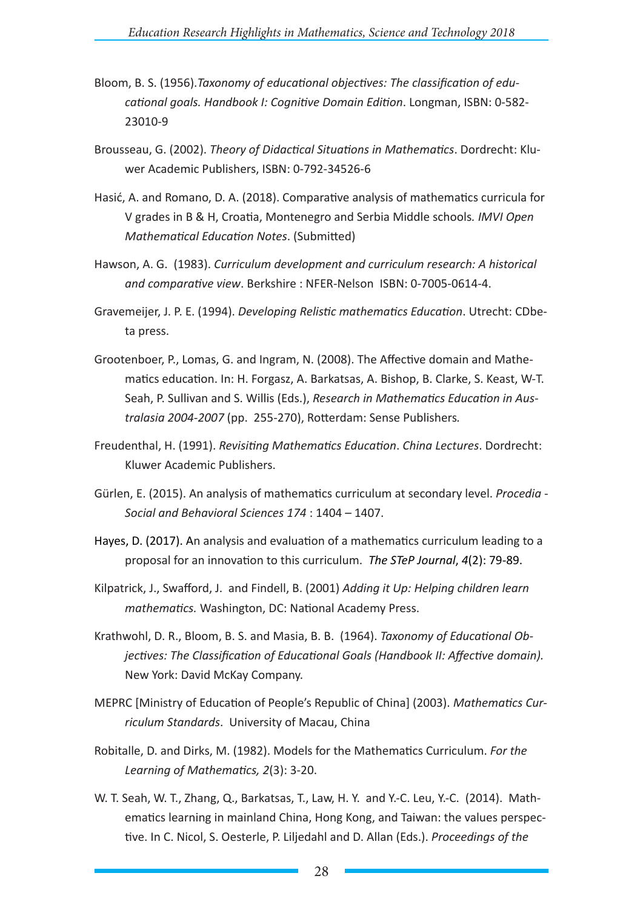- Bloom, B. S. (1956).*Taxonomy of educational objectives: The classification of educational goals. Handbook I: Cognitive Domain Edition*. Longman, ISBN: 0-582- 23010-9
- Brousseau, G. (2002). *Theory of Didactical Situations in Mathematics*. Dordrecht: Kluwer Academic Publishers, ISBN: 0-792-34526-6
- Hasić, A. and Romano, D. A. (2018). Comparative analysis of mathematics curricula for V grades in B & H, Croatia, Montenegro and Serbia Middle schools*. IMVI Open Mathematical Education Notes*. (Submitted)
- Hawson, A. G. (1983). *Curriculum development and curriculum research: A historical and comparative view*. Berkshire : NFER-Nelson ISBN: 0-7005-0614-4.
- Gravemeijer, J. P. E. (1994). *Developing Relistic mathematics Education*. Utrecht: CDbeta press.
- Grootenboer, P., Lomas, G. and Ingram, N. (2008). The Affective domain and Mathematics education. In: H. Forgasz, A. Barkatsas, A. Bishop, B. Clarke, S. Keast, W-T. Seah, P. Sullivan and S. Willis (Eds.), *Research in Mathematics Education in Australasia 2004-2007* (pp. 255*-*270), Rotterdam: Sense Publishers*.*
- Freudenthal, H. (1991). *Revisiting Mathematics Education*. *China Lectures*. Dordrecht: Kluwer Academic Publishers.
- Gürlen, E. (2015). An analysis of mathematics curriculum at secondary level. *Procedia Social and Behavioral Sciences 174* : 1404 – 1407.
- Hayes, D. (2017). An analysis and evaluation of a mathematics curriculum leading to a proposal for an innovation to this curriculum. *The STeP Journal*, *4*(2): 79-89.
- Kilpatrick, J., Swafford, J. and Findell, B. (2001) *Adding it Up: Helping children learn mathematics.* Washington, DC: National Academy Press.
- Krathwohl, D. R., Bloom, B. S. and Masia, B. B. (1964). *Taxonomy of Educational Objectives: The Classification of Educational Goals (Handbook II: Affective domain).*  New York: David McKay Company.
- MEPRC [Ministry of Education of People's Republic of China] (2003). *Mathematics Curriculum Standards*. University of Macau, China
- Robitalle, D. and Dirks, M. (1982). Models for the Mathematics Curriculum. *For the Learning of Mathematics, 2*(3): 3-20.
- W. T. Seah, W. T., Zhang, Q., Barkatsas, T., Law, H. Y. and Y.-C. Leu, Y.-C. (2014). Mathematics learning in mainland China, Hong Kong, and Taiwan: the values perspective. In C. Nicol, S. Oesterle, P. Liljedahl and D. Allan (Eds.). *Proceedings of the*